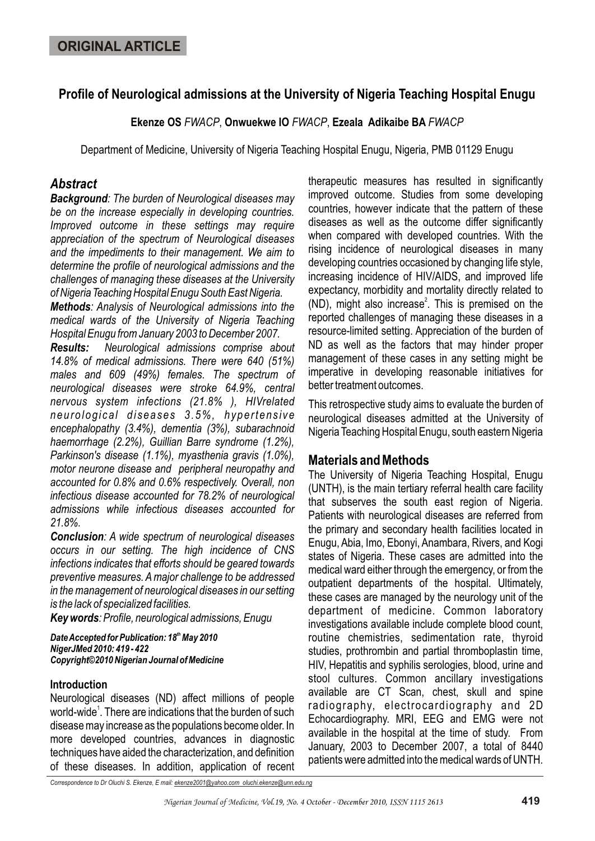# **Profile of Neurological admissions at the University of Nigeria Teaching Hospital Enugu**

**Ekenze OS** *FWACP*, **Onwuekwe IO** *FWACP*, **Ezeala Adikaibe BA** *FWACP*

Department of Medicine, University of Nigeria Teaching Hospital Enugu, Nigeria, PMB 01129 Enugu

# *Abstract*

*Background: The burden of Neurological diseases may be on the increase especially in developing countries. Improved outcome in these settings may require appreciation of the spectrum of Neurological diseases and the impediments to their management. We aim to determine the profile of neurological admissions and the challenges of managing these diseases at the University of Nigeria Teaching Hospital Enugu South East Nigeria.* 

*Methods: Analysis of Neurological admissions into the medical wards of the University of Nigeria Teaching Hospital Enugu from January 2003 to December 2007.*

*Results: Neurological admissions comprise about 14.8% of medical admissions. There were 640 (51%) males and 609 (49%) females. The spectrum of neurological diseases were stroke 64.9%, central nervous system infections (21.8% ), HIVrelated neurological diseases 3.5%, hypertensive encephalopathy (3.4%), dementia (3%), subarachnoid haemorrhage (2.2%), Guillian Barre syndrome (1.2%), Parkinson's disease (1.1%), myasthenia gravis (1.0%), motor neurone disease and peripheral neuropathy and accounted for 0.8% and 0.6% respectively. Overall, non infectious disease accounted for 78.2% of neurological admissions while infectious diseases accounted for 21.8%.*

*Conclusion: A wide spectrum of neurological diseases occurs in our setting. The high incidence of CNS infections indicates that efforts should be geared towards preventive measures. A major challenge to be addressed in the management of neurological diseases in our setting is the lack of specialized facilities.*

*Key words: Profile, neurological admissions, Enugu*

**Date Accepted for Publication: 18<sup>th</sup> May 2010** *NigerJMed 2010: 419 - 422 Copyright©2010 Nigerian Journal of Medicine*

### **Introduction**

Neurological diseases (ND) affect millions of people world-wide<sup>1</sup>. There are indications that the burden of such disease may increase as the populations become older. In more developed countries, advances in diagnostic techniques have aided the characterization, and definition of these diseases. In addition, application of recent

therapeutic measures has resulted in significantly improved outcome. Studies from some developing countries, however indicate that the pattern of these diseases as well as the outcome differ significantly when compared with developed countries. With the rising incidence of neurological diseases in many developing countries occasioned by changing life style, increasing incidence of HIV/AIDS, and improved life expectancy, morbidity and mortality directly related to (ND), might also increase<sup>2</sup>. This is premised on the reported challenges of managing these diseases in a resource-limited setting. Appreciation of the burden of ND as well as the factors that may hinder proper management of these cases in any setting might be imperative in developing reasonable initiatives for better treatment outcomes.

This retrospective study aims to evaluate the burden of neurological diseases admitted at the University of Nigeria Teaching Hospital Enugu, south eastern Nigeria

# **Materials and Methods**

The University of Nigeria Teaching Hospital, Enugu (UNTH), is the main tertiary referral health care facility that subserves the south east region of Nigeria. Patients with neurological diseases are referred from the primary and secondary health facilities located in Enugu, Abia, Imo, Ebonyi, Anambara, Rivers, and Kogi states of Nigeria. These cases are admitted into the medical ward either through the emergency, or from the outpatient departments of the hospital. Ultimately, these cases are managed by the neurology unit of the department of medicine. Common laboratory investigations available include complete blood count, routine chemistries, sedimentation rate, thyroid studies, prothrombin and partial thromboplastin time, HIV, Hepatitis and syphilis serologies, blood, urine and stool cultures. Common ancillary investigations available are CT Scan, chest, skull and spine radiography, electrocardiography and 2D Echocardiography. MRI, EEG and EMG were not available in the hospital at the time of study. From January, 2003 to December 2007, a total of 8440 patients were admitted into the medical wards of UNTH.

*Correspondence to Dr Oluchi S. Ekenze, E mail: ekenze2001@yahoo.com oluchi.ekenze@unn.edu.ng*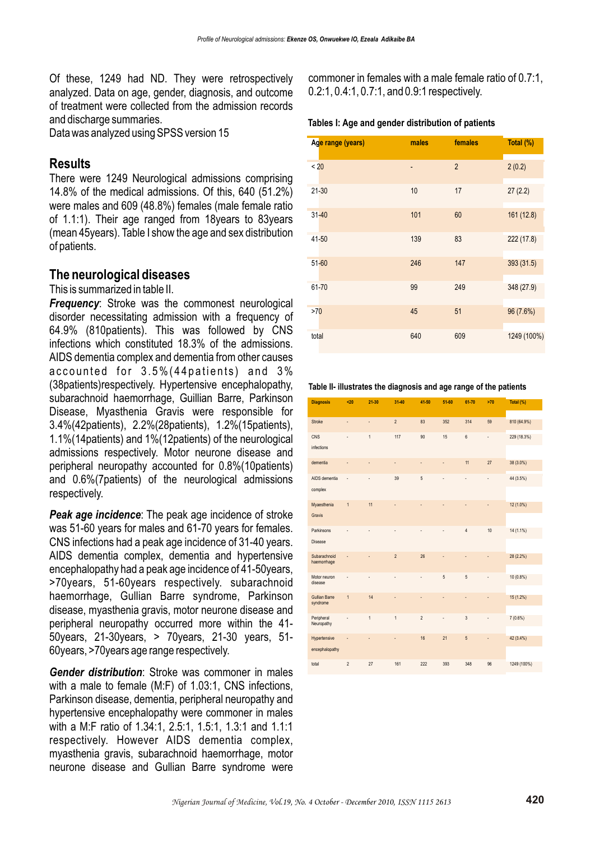Of these, 1249 had ND. They were retrospectively analyzed. Data on age, gender, diagnosis, and outcome of treatment were collected from the admission records and discharge summaries.

Data was analyzed using SPSS version 15

## **Results**

There were 1249 Neurological admissions comprising 14.8% of the medical admissions. Of this, 640 (51.2%) were males and 609 (48.8%) females (male female ratio of 1.1:1). Their age ranged from 18years to 83years (mean 45years). Table I show the age and sex distribution of patients.

## **The neurological diseases**

This is summarized in table II.

*Frequency:* Stroke was the commonest neurological disorder necessitating admission with a frequency of 64.9% (810patients). This was followed by CNS infections which constituted 18.3% of the admissions. AIDS dementia complex and dementia from other causes accounted for 3.5%(44patients) and 3% (38patients)respectively. Hypertensive encephalopathy, subarachnoid haemorrhage, Guillian Barre, Parkinson Disease, Myasthenia Gravis were responsible for 3.4%(42patients), 2.2%(28patients), 1.2%(15patients), 1.1%(14patients) and 1%(12patients) of the neurological admissions respectively. Motor neurone disease and peripheral neuropathy accounted for 0.8%(10patients) and 0.6%(7patients) of the neurological admissions respectively.

*Peak age incidence*: The peak age incidence of stroke was 51-60 years for males and 61-70 years for females. CNS infections had a peak age incidence of 31-40 years. AIDS dementia complex, dementia and hypertensive encephalopathy had a peak age incidence of 41-50years, >70years, 51-60years respectively. subarachnoid haemorrhage, Gullian Barre syndrome, Parkinson disease, myasthenia gravis, motor neurone disease and peripheral neuropathy occurred more within the 41- 50years, 21-30years, > 70years, 21-30 years, 51- 60years, >70years age range respectively.

*Gender distribution*: Stroke was commoner in males with a male to female (M:F) of 1.03:1, CNS infections, Parkinson disease, dementia, peripheral neuropathy and hypertensive encephalopathy were commoner in males with a M:F ratio of 1.34:1, 2.5:1, 1.5:1, 1.3:1 and 1.1:1 respectively. However AIDS dementia complex, myasthenia gravis, subarachnoid haemorrhage, motor neurone disease and Gullian Barre syndrome were commoner in females with a male female ratio of 0.7:1, 0.2:1, 0.4:1, 0.7:1, and 0.9:1 respectively.

#### **Tables I: Age and gender distribution of patients**

| Age range (years) | males | females        | Total (%)   |
|-------------------|-------|----------------|-------------|
| < 20              |       | $\overline{2}$ | 2(0.2)      |
| $21 - 30$         | 10    | 17             | 27(2.2)     |
| $31 - 40$         | 101   | 60             | 161 (12.8)  |
| $41 - 50$         | 139   | 83             | 222 (17.8)  |
| $51 - 60$         | 246   | 147            | 393 (31.5)  |
| $61 - 70$         | 99    | 249            | 348 (27.9)  |
| >70               | 45    | 51             | 96 (7.6%)   |
| total             | 640   | 609            | 1249 (100%) |

#### **Table II- illustrates the diagnosis and age range of the patients**

| <b>Diagnosis</b>                 | $20$           | $21 - 30$    | $31 - 40$                | 41-50          | $51 - 60$ | 61-70          | >70                                                                                            | Total (%)   |
|----------------------------------|----------------|--------------|--------------------------|----------------|-----------|----------------|------------------------------------------------------------------------------------------------|-------------|
| Stroke                           | ÷,             | ÷,           | $\overline{2}$           | 83             | 352       | 314            | 59                                                                                             | 810 (64.9%) |
| CNS<br>infections                | ä,             | $\mathbf{1}$ | 117                      | 90             | 15        | $6\phantom{a}$ | ÷,                                                                                             | 229 (18.3%) |
| dementia                         |                | ä            | $\overline{\phantom{a}}$ | ٠              | ٠         | 11             | 27                                                                                             | 38 (3.0%)   |
| AIDS dementia<br>complex         | ٠              | ä,           | 39                       | 5              | ٠         | ٠              | $\frac{1}{2} \left( \frac{1}{2} \right) \left( \frac{1}{2} \right) \left( \frac{1}{2} \right)$ | 44 (3.5%)   |
| Myaesthenia<br>Gravis            | $\mathbf{1}$   | 11           |                          |                |           |                |                                                                                                | 12 (1.0%)   |
| Parkinsons<br>Disease            |                |              |                          |                |           | $\overline{4}$ | 10                                                                                             | 14 (1.1%)   |
| Subarachnoid<br>haemorrhage      |                |              | $\overline{2}$           | 26             |           |                |                                                                                                | 28 (2.2%)   |
| Motor neuron<br>disease          |                | ä,           | ä,                       | ٠              | 5         | $\overline{5}$ | ä,                                                                                             | 10 (0.8%)   |
| <b>Gullian Barre</b><br>syndrome | $\mathbf{1}$   | 14           | ٠                        | ÷,             | ÷         | ÷,             | ÷                                                                                              | 15 (1.2%)   |
| Peripheral<br>Neuropathy         |                | $\mathbf{1}$ | $\overline{1}$           | $\overline{c}$ | ٠         | $\sqrt{3}$     |                                                                                                | $7(0.6\%)$  |
| Hypertensive<br>encephalopathy   |                |              |                          | 16             | 21        | 5              |                                                                                                | 42 (3.4%)   |
| total                            | $\overline{2}$ | 27           | 161                      | 222            | 393       | 348            | 96                                                                                             | 1249 (100%) |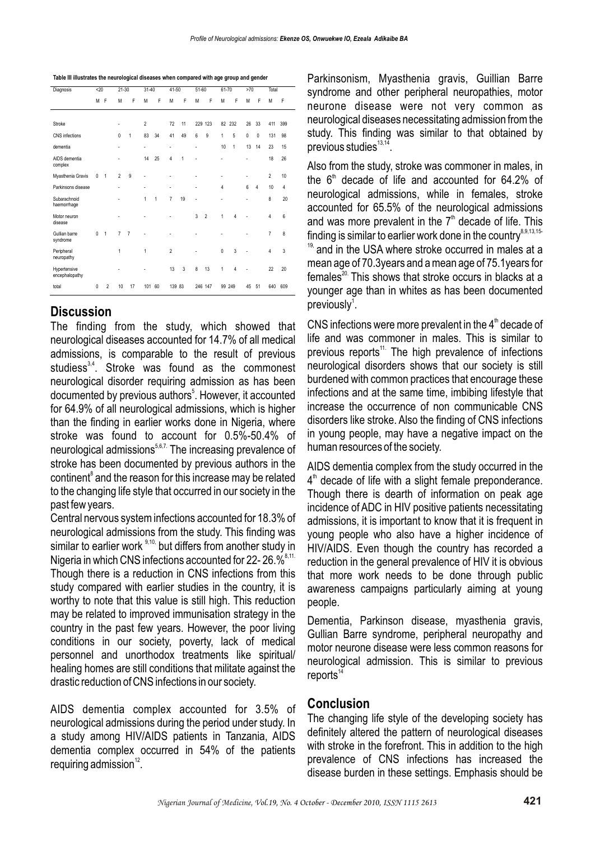| Table III illustrates the neurological diseases when compared with age group and gender |
|-----------------------------------------------------------------------------------------|
|                                                                                         |

| Diagnosis                      | $20$     |                | $21 - 30$      |                | $31 - 40$      |    | 41-50                    |    | 51-60                    |                | 61-70  |        | >70          |                | Total          |     |
|--------------------------------|----------|----------------|----------------|----------------|----------------|----|--------------------------|----|--------------------------|----------------|--------|--------|--------------|----------------|----------------|-----|
|                                | M F      |                | M              | F              | M              | F  | M                        | F  | M                        | F              | M      | F      | M            | F              | M              | F   |
|                                |          |                |                |                |                |    |                          |    |                          |                |        |        |              |                |                |     |
| Stroke                         |          |                | ٠              |                | $\overline{2}$ |    | 72                       | 11 |                          | 229 123        |        | 82 232 | 26           | 33             | 411            | 399 |
| CNS infections                 |          |                | 0              | 1              | 83             | 34 | 41                       | 49 | 6                        | 9              | 1      | 5      | $\mathbf{0}$ | $\mathbf{0}$   | 131            | 98  |
| dementia                       |          |                | $\overline{a}$ |                | $\overline{a}$ |    | $\overline{\phantom{a}}$ |    | ٠                        |                | 10     | 1      | 13           | 14             | 23             | 15  |
| AIDS dementia<br>complex       |          |                |                |                | 14             | 25 | 4                        | 1  |                          |                | ٠      |        | Ĭ.           |                | 18             | 26  |
| Myasthenia Gravis              | 0        | 1              | $\overline{2}$ | 9              | $\overline{a}$ |    |                          |    | ٠                        |                | ٠      |        | ٠            |                | $\overline{2}$ | 10  |
| Parkinsons disease             |          |                | L,             |                | $\overline{a}$ |    | ÷,                       |    | ÷,                       |                | 4      |        | 6            | $\overline{4}$ | 10             | 4   |
| Subarachnoid<br>haemorrhage    |          |                | i,             |                | 1              | 1  | $\overline{7}$           | 19 | $\overline{\phantom{a}}$ |                | ٠      |        | Ĭ.           |                | 8              | 20  |
| Motor neuron<br>disease        |          |                | L,             |                |                |    |                          |    | 3                        | $\overline{2}$ | 1      | 4      |              |                | 4              | 6   |
| Gullian barre<br>syndrome      | $\Omega$ | $\overline{1}$ | $\overline{7}$ | $\overline{7}$ |                |    |                          |    |                          |                |        |        |              |                | $\overline{7}$ | 8   |
| Peripheral<br>neuropathy       |          |                | 1              |                | 1              |    | $\overline{2}$           |    |                          |                | 0      | 3      |              |                | 4              | 3   |
| Hypertensive<br>encephalopathy |          |                |                |                |                |    | 13                       | 3  | 8                        | 13             | 1      | 4      |              |                | 22             | 20  |
| total                          | $\Omega$ | $\overline{2}$ | 10             | 17             | 101            | 60 | 139 83                   |    |                          | 246 147        | 99 249 |        | 45           | 51             | 640            | 609 |

## **Discussion**

The finding from the study, which showed that neurological diseases accounted for 14.7% of all medical admissions, is comparable to the result of previous studiess $^{3,4}$ . Stroke was found as the commonest neurological disorder requiring admission as has been documented by previous authors<sup>5</sup>. However, it accounted for 64.9% of all neurological admissions, which is higher than the finding in earlier works done in Nigeria, where stroke was found to account for 0.5%-50.4% of neurological admissions<sup>5,6,7.</sup> The increasing prevalence of stroke has been documented by previous authors in the continent<sup>8</sup> and the reason for this increase may be related to the changing life style that occurred in our society in the past few years.

Central nervous system infections accounted for 18.3% of neurological admissions from the study. This finding was similar to earlier work  $9,10$ , but differs from another study in Nigeria in which CNS infections accounted for 22-  $26.%$ <sup> $8,11$ </sup> Though there is a reduction in CNS infections from this study compared with earlier studies in the country, it is worthy to note that this value is still high. This reduction may be related to improved immunisation strategy in the country in the past few years. However, the poor living conditions in our society, poverty, lack of medical personnel and unorthodox treatments like spiritual/ healing homes are still conditions that militate against the drastic reduction of CNS infections in our society.

AIDS dementia complex accounted for 3.5% of neurological admissions during the period under study. In a study among HIV/AIDS patients in Tanzania, AIDS dementia complex occurred in 54% of the patients requiring admission $^{12}$ .

Parkinsonism, Myasthenia gravis, Guillian Barre syndrome and other peripheral neuropathies, motor neurone disease were not very common as neurological diseases necessitating admission from the study. This finding was similar to that obtained by previous studies $^{13,14}$ .

Also from the study, stroke was commoner in males, in the  $6<sup>th</sup>$  decade of life and accounted for 64.2% of neurological admissions, while in females, stroke accounted for 65.5% of the neurological admissions and was more prevalent in the  $7<sup>th</sup>$  decade of life. This finding is similar to earlier work done in the country<sup>8,9,13,15-</sup>  $19$ , and in the USA where stroke occurred in males at a mean age of 70.3years and a mean age of 75.1years for females<sup>20.</sup> This shows that stroke occurs in blacks at a younger age than in whites as has been documented previously $^1$ .

CNS infections were more prevalent in the  $4<sup>th</sup>$  decade of life and was commoner in males. This is similar to previous reports<sup>11.</sup> The high prevalence of infections neurological disorders shows that our society is still burdened with common practices that encourage these infections and at the same time, imbibing lifestyle that increase the occurrence of non communicable CNS disorders like stroke. Also the finding of CNS infections in young people, may have a negative impact on the human resources of the society.

AIDS dementia complex from the study occurred in the  $4<sup>th</sup>$  decade of life with a slight female preponderance. Though there is dearth of information on peak age incidence of ADC in HIV positive patients necessitating admissions, it is important to know that it is frequent in young people who also have a higher incidence of HIV/AIDS. Even though the country has recorded a reduction in the general prevalence of HIV it is obvious that more work needs to be done through public awareness campaigns particularly aiming at young people.

Dementia, Parkinson disease, myasthenia gravis, Gullian Barre syndrome, peripheral neuropathy and motor neurone disease were less common reasons for neurological admission. This is similar to previous  $renorts<sup>14</sup>$ 

### **Conclusion**

The changing life style of the developing society has definitely altered the pattern of neurological diseases with stroke in the forefront. This in addition to the high prevalence of CNS infections has increased the disease burden in these settings. Emphasis should be